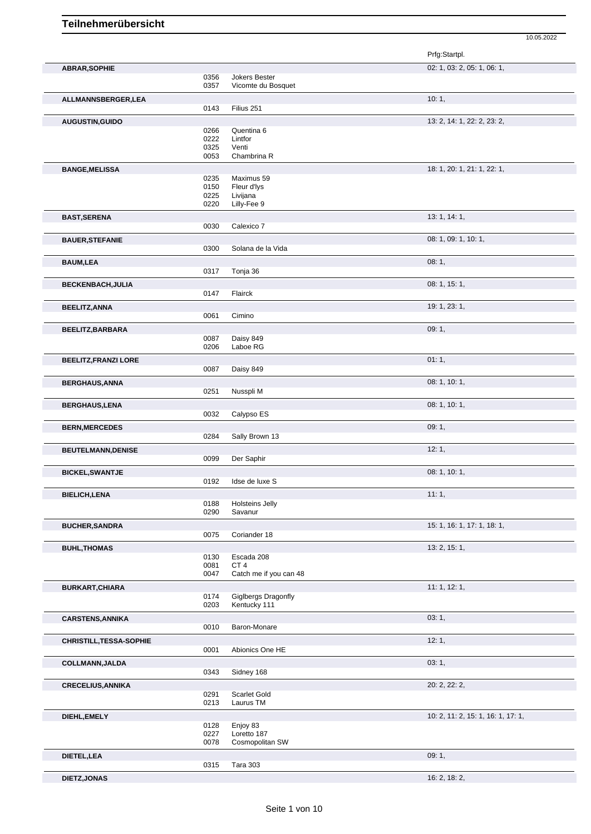|                             |              |                                     | Prfg:Startpl.                      |
|-----------------------------|--------------|-------------------------------------|------------------------------------|
| <b>ABRAR, SOPHIE</b>        |              |                                     | 02: 1, 03: 2, 05: 1, 06: 1,        |
|                             | 0356<br>0357 | Jokers Bester<br>Vicomte du Bosquet |                                    |
| ALLMANNSBERGER, LEA         |              |                                     | 10:1,                              |
|                             | 0143         | Filius 251                          |                                    |
| AUGUSTIN, GUIDO             |              |                                     | 13: 2, 14: 1, 22: 2, 23: 2,        |
|                             | 0266         | Quentina 6                          |                                    |
|                             | 0222<br>0325 | Lintfor<br>Venti                    |                                    |
|                             | 0053         | Chambrina R                         |                                    |
| <b>BANGE, MELISSA</b>       |              |                                     | 18: 1, 20: 1, 21: 1, 22: 1,        |
|                             | 0235         | Maximus 59                          |                                    |
|                             | 0150         | Fleur d'Iys                         |                                    |
|                             | 0225<br>0220 | Livijana<br>Lilly-Fee 9             |                                    |
|                             |              |                                     |                                    |
| <b>BAST, SERENA</b>         | 0030         | Calexico 7                          | 13: 1, 14: 1,                      |
|                             |              |                                     |                                    |
| <b>BAUER, STEFANIE</b>      | 0300         | Solana de la Vida                   | 08: 1, 09: 1, 10: 1,               |
|                             |              |                                     |                                    |
| <b>BAUM,LEA</b>             | 0317         | Tonja 36                            | 08:1,                              |
|                             |              |                                     |                                    |
| <b>BECKENBACH, JULIA</b>    | 0147         | Flairck                             | 08: 1, 15: 1,                      |
|                             |              |                                     | 19: 1, 23: 1,                      |
| <b>BEELITZ, ANNA</b>        | 0061         | Cimino                              |                                    |
|                             |              |                                     | 09:1,                              |
| BEELITZ, BARBARA            | 0087         | Daisy 849                           |                                    |
|                             | 0206         | Laboe RG                            |                                    |
| <b>BEELITZ, FRANZI LORE</b> |              |                                     | 01:1,                              |
|                             | 0087         | Daisy 849                           |                                    |
| <b>BERGHAUS, ANNA</b>       |              |                                     | 08: 1, 10: 1,                      |
|                             | 0251         | Nusspli M                           |                                    |
| <b>BERGHAUS,LENA</b>        |              |                                     | 08: 1, 10: 1,                      |
|                             | 0032         | Calypso ES                          |                                    |
| <b>BERN, MERCEDES</b>       |              |                                     | 09:1,                              |
|                             | 0284         | Sally Brown 13                      |                                    |
| <b>BEUTELMANN, DENISE</b>   |              |                                     | 12:1,                              |
|                             | 0099         | Der Saphir                          |                                    |
| <b>BICKEL, SWANTJE</b>      |              |                                     | 08: 1, 10: 1,                      |
|                             | 0192         | Idse de luxe S                      |                                    |
| <b>BIELICH, LENA</b>        |              |                                     | 11:1,                              |
|                             | 0188         | Holsteins Jelly                     |                                    |
|                             | 0290         | Savanur                             |                                    |
| <b>BUCHER, SANDRA</b>       |              |                                     | 15: 1, 16: 1, 17: 1, 18: 1,        |
|                             | 0075         | Coriander 18                        |                                    |
| <b>BUHL, THOMAS</b>         |              |                                     | 13: 2, 15: 1,                      |
|                             | 0130<br>0081 | Escada 208<br>CT <sub>4</sub>       |                                    |
|                             | 0047         | Catch me if you can 48              |                                    |
| <b>BURKART, CHIARA</b>      |              |                                     | 11: 1, 12: 1,                      |
|                             | 0174         | Giglbergs Dragonfly                 |                                    |
|                             | 0203         | Kentucky 111                        |                                    |
| <b>CARSTENS, ANNIKA</b>     |              |                                     | 03:1,                              |
|                             | 0010         | Baron-Monare                        |                                    |
| CHRISTILL, TESSA-SOPHIE     |              |                                     | 12:1,                              |
|                             | 0001         | Abionics One HE                     |                                    |
| <b>COLLMANN, JALDA</b>      |              |                                     | 03:1,                              |
|                             | 0343         | Sidney 168                          |                                    |
| <b>CRECELIUS, ANNIKA</b>    |              |                                     | 20: 2, 22: 2,                      |
|                             | 0291<br>0213 | Scarlet Gold<br>Laurus TM           |                                    |
|                             |              |                                     |                                    |
| DIEHL, EMELY                | 0128         | Enjoy 83                            | 10: 2, 11: 2, 15: 1, 16: 1, 17: 1, |
|                             | 0227         | Loretto 187                         |                                    |
|                             | 0078         | Cosmopolitan SW                     |                                    |
| DIETEL, LEA                 |              |                                     | 09:1,                              |
|                             | 0315         | Tara 303                            |                                    |
| <b>DIETZ, JONAS</b>         |              |                                     | 16: 2, 18: 2,                      |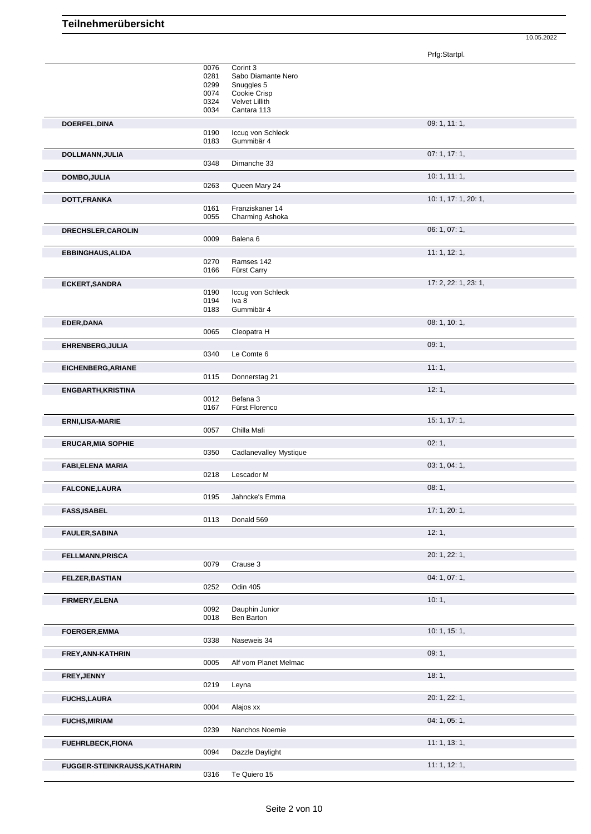Prfg:Startpl.

|                                     | 0076<br>0281<br>0299<br>0074<br>0324<br>0034 | Corint 3<br>Sabo Diamante Nero<br>Snuggles 5<br>Cookie Crisp<br><b>Velvet Lillith</b><br>Cantara 113 |                      |
|-------------------------------------|----------------------------------------------|------------------------------------------------------------------------------------------------------|----------------------|
| DOERFEL, DINA                       |                                              |                                                                                                      | 09: 1, 11: 1,        |
|                                     | 0190<br>0183                                 | Iccug von Schleck<br>Gummibär 4                                                                      |                      |
| DOLLMANN, JULIA                     |                                              |                                                                                                      | 07:1, 17:1,          |
|                                     | 0348                                         | Dimanche 33                                                                                          |                      |
| <b>DOMBO, JULIA</b>                 | 0263                                         | Queen Mary 24                                                                                        | 10: 1, 11: 1,        |
| DOTT, FRANKA                        |                                              |                                                                                                      | 10: 1, 17: 1, 20: 1, |
|                                     | 0161<br>0055                                 | Franziskaner 14<br>Charming Ashoka                                                                   |                      |
| DRECHSLER, CAROLIN                  | 0009                                         | Balena <sub>6</sub>                                                                                  | 06: 1, 07: 1,        |
| <b>EBBINGHAUS, ALIDA</b>            | 0270<br>0166                                 | Ramses 142<br>Fürst Carry                                                                            | 11: 1, 12: 1,        |
| <b>ECKERT, SANDRA</b>               |                                              |                                                                                                      | 17: 2, 22: 1, 23: 1, |
|                                     | 0190<br>0194                                 | Iccug von Schleck<br>Iva 8                                                                           |                      |
|                                     | 0183                                         | Gummibär 4                                                                                           |                      |
| EDER, DANA                          | 0065                                         | Cleopatra H                                                                                          | 08: 1, 10: 1,        |
| EHRENBERG, JULIA                    |                                              |                                                                                                      | 09:1,                |
|                                     | 0340                                         | Le Comte 6                                                                                           |                      |
| EICHENBERG, ARIANE                  | 0115                                         | Donnerstag 21                                                                                        | 11:1,                |
| <b>ENGBARTH, KRISTINA</b>           |                                              | Befana 3                                                                                             | 12:1,                |
|                                     | 0012<br>0167                                 | Fürst Florenco                                                                                       |                      |
| <b>ERNI,LISA-MARIE</b>              |                                              |                                                                                                      | 15: 1, 17: 1,        |
|                                     | 0057                                         | Chilla Mafi                                                                                          | 02:1,                |
| <b>ERUCAR, MIA SOPHIE</b>           | 0350                                         | <b>Cadlanevalley Mystique</b>                                                                        |                      |
| <b>FABI,ELENA MARIA</b>             |                                              |                                                                                                      | 03: 1, 04: 1,        |
|                                     | 0218                                         | Lescador M                                                                                           |                      |
| <b>FALCONE, LAURA</b>               | 0195                                         | Jahncke's Emma                                                                                       | 08:1,                |
| <b>FASS, ISABEL</b>                 |                                              |                                                                                                      | 17: 1, 20: 1,        |
|                                     | 0113                                         | Donald 569                                                                                           |                      |
| <b>FAULER, SABINA</b>               |                                              |                                                                                                      | 12:1,                |
| <b>FELLMANN, PRISCA</b>             |                                              |                                                                                                      | 20: 1, 22: 1,        |
|                                     | 0079                                         | Crause 3                                                                                             |                      |
| FELZER, BASTIAN                     | 0252                                         | Odin 405                                                                                             | 04: 1, 07: 1,        |
| FIRMERY, ELENA                      |                                              |                                                                                                      | 10:1,                |
|                                     | 0092                                         | Dauphin Junior                                                                                       |                      |
|                                     | 0018                                         | Ben Barton                                                                                           | 10: 1, 15: 1,        |
| <b>FOERGER,EMMA</b>                 | 0338                                         | Naseweis 34                                                                                          |                      |
| FREY, ANN-KATHRIN                   |                                              |                                                                                                      | 09:1,                |
|                                     | 0005                                         | Alf vom Planet Melmac                                                                                |                      |
| FREY, JENNY                         | 0219                                         | Leyna                                                                                                | 18:1,                |
| <b>FUCHS, LAURA</b>                 |                                              |                                                                                                      | 20: 1, 22: 1,        |
|                                     | 0004                                         | Alajos xx                                                                                            |                      |
| <b>FUCHS, MIRIAM</b>                | 0239                                         | Nanchos Noemie                                                                                       | 04: 1, 05: 1,        |
| <b>FUEHRLBECK,FIONA</b>             |                                              |                                                                                                      | 11:1, 13:1,          |
|                                     | 0094                                         | Dazzle Daylight                                                                                      |                      |
| <b>FUGGER-STEINKRAUSS, KATHARIN</b> | 0316                                         | Te Quiero 15                                                                                         | 11: 1, 12: 1,        |
|                                     |                                              |                                                                                                      |                      |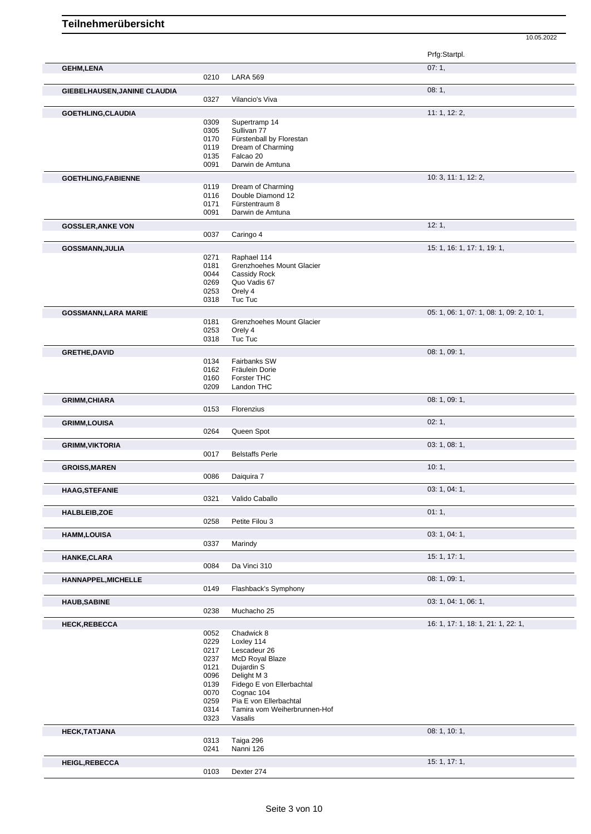10.05.2022 Prfg:Startpl. **GEHM,LENA** 07: 1, 07: 1, 07: 1, 0210 LARA 569 LARA 569 **GIEBELHAUSEN,JANINE CLAUDIA** 08: 1, 0327 Vilancio's Viva **GOETHLING,CLAUDIA** 11: 1, 12: 2, 0309 Supertramp 14<br>0305 Sullivan 77 0305 Sullivan 77<br>0170 Fürstenball 0170 Fürstenball by Florestan<br>0119 Dream of Charming 0119 Dream of Charming<br>0135 Falcao 20 0135 Falcao 20<br>0091 Darwin de Darwin de Amtuna **GOETHLING,FABIENNE** 10: 3, 11: 1, 12: 2, 11: 1, 12: 2, 11: 1, 12: 2, 11: 1, 12: 2, 11: 1, 12: 2, 11: 1, 12: 2, 11: 1, 12: 2, 11: 1, 12: 2, 11: 1, 12: 2, 11: 1, 12: 2, 11: 1, 12: 2, 11: 1, 12: 2, 11: 1, 12: 2, 11: 1, 12: 2 0119 Dream of Charming 0116 Double Diamond 12 0171 Fürstentraum 8 0091 Darwin de Amtuna **GOSSLER, ANKE VON** 212: 1, 20037 **Caringo 4** 21: 1, 20037 **Caringo 4** 21: 1, 2004 Caringo 4 **GOSSMANN,JULIA** 15: 1, 16: 1, 17: 1, 19: 1, 19: 1, 19: 1, 19: 1, 19: 1, 19: 1, 19: 1, 19: 1, 19: 1, 19: 1, 19: 1, 19: 1, 19: 1, 19: 1, 19: 1, 19: 1, 19: 1, 19: 1, 19: 1, 19: 1, 19: 1, 19: 1, 19: 1, 19: 1, 19: 1, 19: 1, 19 0271 Raphael 114<br>0181 Grenzhoehes 0181 Grenzhoehes Mount Glacier<br>0044 Cassidy Rock 0044 Cassidy Rock<br>0269 Quo Vadis 67 Quo Vadis 67 0253 Orely 4 0318 Tuc Tuc **GOSSMANN,LARA MARIE** 05: 1, 06: 1, 07: 1, 08: 1, 09: 2, 10: 1, 09: 2, 10: 1, 05: 1, 09: 2, 10: 1, 09: 2, 10: 1, 09: 2, 10: 1, 09: 2, 10: 1, 09: 2, 10: 1, 09: 2, 10: 1, 09: 2, 10: 1, 09: 2, 10: 1, 09: 2, 10: 1, 09: 2, 10:

| שונתות תנחת, בתורת ושטטט |              |                                      | $\circ$ . $\circ$ , $\circ$ . $\circ$ , $\circ$ . $\circ$ , $\circ$ . $\circ$ , $\circ$ , $\circ$ , $\circ$ , $\circ$ , $\circ$ , $\circ$ , $\circ$ , $\circ$ , $\circ$ , $\circ$ , $\circ$ , $\circ$ , $\circ$ , $\circ$ , $\circ$ , $\circ$ , $\circ$ , $\circ$ , $\circ$ , $\circ$ , $\circ$ , $\circ$ , $\circ$ , $\circ$ , $\circ$ , $\circ$ , $\circ$ , $\circ$ , |
|--------------------------|--------------|--------------------------------------|-------------------------------------------------------------------------------------------------------------------------------------------------------------------------------------------------------------------------------------------------------------------------------------------------------------------------------------------------------------------------|
|                          | 0181         | Grenzhoehes Mount Glacier            |                                                                                                                                                                                                                                                                                                                                                                         |
|                          | 0253         | Orely 4                              |                                                                                                                                                                                                                                                                                                                                                                         |
|                          | 0318         | Tuc Tuc                              |                                                                                                                                                                                                                                                                                                                                                                         |
| <b>GRETHE, DAVID</b>     |              |                                      | 08: 1, 09: 1,                                                                                                                                                                                                                                                                                                                                                           |
|                          | 0134         | Fairbanks SW                         |                                                                                                                                                                                                                                                                                                                                                                         |
|                          | 0162         | Fräulein Dorie                       |                                                                                                                                                                                                                                                                                                                                                                         |
|                          | 0160         | Forster THC                          |                                                                                                                                                                                                                                                                                                                                                                         |
|                          | 0209         | Landon THC                           |                                                                                                                                                                                                                                                                                                                                                                         |
| <b>GRIMM, CHIARA</b>     |              |                                      | 08: 1, 09: 1,                                                                                                                                                                                                                                                                                                                                                           |
|                          | 0153         | Florenzius                           |                                                                                                                                                                                                                                                                                                                                                                         |
| <b>GRIMM,LOUISA</b>      |              |                                      | 02:1,                                                                                                                                                                                                                                                                                                                                                                   |
|                          | 0264         | Queen Spot                           |                                                                                                                                                                                                                                                                                                                                                                         |
|                          |              |                                      |                                                                                                                                                                                                                                                                                                                                                                         |
| <b>GRIMM, VIKTORIA</b>   |              |                                      | 03: 1, 08: 1,                                                                                                                                                                                                                                                                                                                                                           |
|                          | 0017         | <b>Belstaffs Perle</b>               |                                                                                                                                                                                                                                                                                                                                                                         |
| <b>GROISS, MAREN</b>     |              |                                      | 10:1,                                                                                                                                                                                                                                                                                                                                                                   |
|                          | 0086         | Daiquira 7                           |                                                                                                                                                                                                                                                                                                                                                                         |
| <b>HAAG, STEFANIE</b>    |              |                                      | 03: 1, 04: 1,                                                                                                                                                                                                                                                                                                                                                           |
|                          | 0321         | Valido Caballo                       |                                                                                                                                                                                                                                                                                                                                                                         |
|                          |              |                                      |                                                                                                                                                                                                                                                                                                                                                                         |
| <b>HALBLEIB,ZOE</b>      |              |                                      | 01:1,                                                                                                                                                                                                                                                                                                                                                                   |
|                          | 0258         | Petite Filou 3                       |                                                                                                                                                                                                                                                                                                                                                                         |
| <b>HAMM,LOUISA</b>       |              |                                      | 03: 1, 04: 1,                                                                                                                                                                                                                                                                                                                                                           |
|                          | 0337         | Marindy                              |                                                                                                                                                                                                                                                                                                                                                                         |
|                          |              |                                      |                                                                                                                                                                                                                                                                                                                                                                         |
| <b>HANKE, CLARA</b>      |              |                                      | 15: 1, 17: 1,                                                                                                                                                                                                                                                                                                                                                           |
|                          | 0084         | Da Vinci 310                         |                                                                                                                                                                                                                                                                                                                                                                         |
| HANNAPPEL, MICHELLE      |              |                                      | 08: 1, 09: 1,                                                                                                                                                                                                                                                                                                                                                           |
|                          | 0149         | Flashback's Symphony                 |                                                                                                                                                                                                                                                                                                                                                                         |
|                          |              |                                      | 03: 1, 04: 1, 06: 1,                                                                                                                                                                                                                                                                                                                                                    |
| <b>HAUB, SABINE</b>      | 0238         | Muchacho 25                          |                                                                                                                                                                                                                                                                                                                                                                         |
|                          |              |                                      |                                                                                                                                                                                                                                                                                                                                                                         |
| <b>HECK,REBECCA</b>      |              |                                      | 16: 1, 17: 1, 18: 1, 21: 1, 22: 1,                                                                                                                                                                                                                                                                                                                                      |
|                          | 0052         | Chadwick 8                           |                                                                                                                                                                                                                                                                                                                                                                         |
|                          | 0229         | Loxley 114                           |                                                                                                                                                                                                                                                                                                                                                                         |
|                          | 0217         | Lescadeur 26                         |                                                                                                                                                                                                                                                                                                                                                                         |
|                          | 0237         | McD Royal Blaze                      |                                                                                                                                                                                                                                                                                                                                                                         |
|                          | 0121         | Dujardin S                           |                                                                                                                                                                                                                                                                                                                                                                         |
|                          | 0096         | Delight M 3                          |                                                                                                                                                                                                                                                                                                                                                                         |
|                          | 0139         | Fidego E von Ellerbachtal            |                                                                                                                                                                                                                                                                                                                                                                         |
|                          | 0070         | Cognac 104<br>Pia E von Ellerbachtal |                                                                                                                                                                                                                                                                                                                                                                         |
|                          | 0259<br>0314 | Tamira vom Weiherbrunnen-Hof         |                                                                                                                                                                                                                                                                                                                                                                         |
|                          | 0323         | Vasalis                              |                                                                                                                                                                                                                                                                                                                                                                         |
|                          |              |                                      |                                                                                                                                                                                                                                                                                                                                                                         |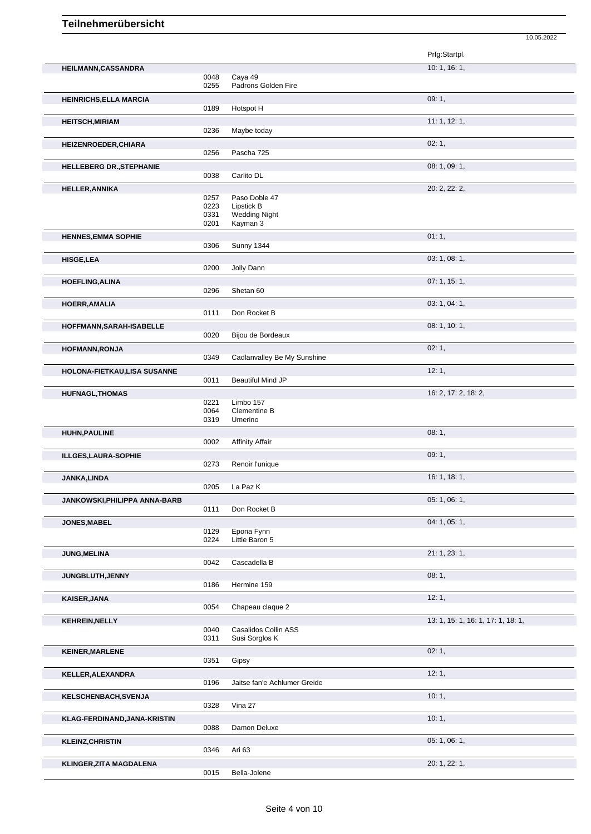|                                 |      |                              | Prfg:Startpl.                      |
|---------------------------------|------|------------------------------|------------------------------------|
| HEILMANN, CASSANDRA             |      |                              | 10: 1, 16: 1,                      |
|                                 | 0048 | Caya 49                      |                                    |
|                                 | 0255 | Padrons Golden Fire          |                                    |
| <b>HEINRICHS, ELLA MARCIA</b>   |      |                              | 09:1,                              |
|                                 | 0189 | Hotspot H                    |                                    |
| <b>HEITSCH, MIRIAM</b>          | 0236 | Maybe today                  | 11:1, 12:1,                        |
| HEIZENROEDER, CHIARA            |      |                              | 02:1,                              |
|                                 | 0256 | Pascha 725                   |                                    |
| <b>HELLEBERG DR., STEPHANIE</b> |      |                              | 08:1,09:1,                         |
|                                 | 0038 | Carlito DL                   |                                    |
| <b>HELLER, ANNIKA</b>           |      |                              | 20: 2, 22: 2,                      |
|                                 | 0257 | Paso Doble 47                |                                    |
|                                 | 0223 | Lipstick B                   |                                    |
|                                 | 0331 | <b>Wedding Night</b>         |                                    |
|                                 | 0201 | Kayman 3                     |                                    |
| <b>HENNES, EMMA SOPHIE</b>      |      |                              | 01:1,                              |
|                                 | 0306 | <b>Sunny 1344</b>            |                                    |
| <b>HISGE,LEA</b>                |      |                              | 03: 1, 08: 1,                      |
|                                 | 0200 | Jolly Dann                   |                                    |
| <b>HOEFLING, ALINA</b>          |      |                              | 07:1, 15:1,                        |
|                                 | 0296 | Shetan 60                    |                                    |
| <b>HOERR, AMALIA</b>            |      |                              | 03: 1, 04: 1,                      |
|                                 | 0111 | Don Rocket B                 |                                    |
| HOFFMANN, SARAH-ISABELLE        |      |                              | 08: 1, 10: 1,                      |
|                                 | 0020 | Bijou de Bordeaux            |                                    |
| <b>HOFMANN, RONJA</b>           |      |                              | 02:1,                              |
|                                 | 0349 | Cadlanvalley Be My Sunshine  |                                    |
| HOLONA-FIETKAU,LISA SUSANNE     |      |                              | 12:1,                              |
|                                 | 0011 | <b>Beautiful Mind JP</b>     |                                    |
| <b>HUFNAGL, THOMAS</b>          |      |                              | 16: 2, 17: 2, 18: 2,               |
|                                 | 0221 | Limbo 157                    |                                    |
|                                 | 0064 | Clementine B                 |                                    |
|                                 | 0319 | Umerino                      |                                    |
| <b>HUHN, PAULINE</b>            |      |                              | 08:1,                              |
|                                 | 0002 | <b>Affinity Affair</b>       |                                    |
| ILLGES, LAURA-SOPHIE            |      |                              | 09:1,                              |
|                                 | 0273 | Renoir l'unique              |                                    |
| JANKA, LINDA                    |      |                              | 16: 1, 18: 1,                      |
|                                 |      | 0205 La Paz K                |                                    |
| JANKOWSKI, PHILIPPA ANNA-BARB   |      |                              | 05: 1, 06: 1,                      |
|                                 | 0111 | Don Rocket B                 |                                    |
| JONES, MABEL                    |      |                              | 04: 1, 05: 1,                      |
|                                 | 0129 | Epona Fynn                   |                                    |
|                                 | 0224 | Little Baron 5               |                                    |
| <b>JUNG, MELINA</b>             |      |                              | 21: 1, 23: 1,                      |
|                                 | 0042 | Cascadella B                 |                                    |
| JUNGBLUTH, JENNY                |      |                              | 08:1,                              |
|                                 | 0186 | Hermine 159                  |                                    |
| KAISER, JANA                    |      |                              | 12:1,                              |
|                                 | 0054 | Chapeau claque 2             |                                    |
| <b>KEHREIN, NELLY</b>           |      |                              | 13: 1, 15: 1, 16: 1, 17: 1, 18: 1, |
|                                 | 0040 | Casalidos Collin ASS         |                                    |
|                                 | 0311 | Susi Sorglos K               |                                    |
| <b>KEINER, MARLENE</b>          |      |                              | 02:1,                              |
|                                 | 0351 | Gipsy                        |                                    |
| KELLER, ALEXANDRA               |      |                              | 12:1,                              |
|                                 | 0196 | Jaitse fan'e Achlumer Greide |                                    |
| <b>KELSCHENBACH, SVENJA</b>     |      |                              | 10:1,                              |
|                                 | 0328 | Vina 27                      |                                    |
| KLAG-FERDINAND, JANA-KRISTIN    |      |                              | 10:1,                              |
|                                 | 0088 | Damon Deluxe                 |                                    |
|                                 |      |                              | 05: 1, 06: 1,                      |
| <b>KLEINZ, CHRISTIN</b>         | 0346 | Ari 63                       |                                    |
|                                 |      |                              | 20: 1, 22: 1,                      |
| <b>KLINGER, ZITA MAGDALENA</b>  | 0015 | Bella-Jolene                 |                                    |
|                                 |      |                              |                                    |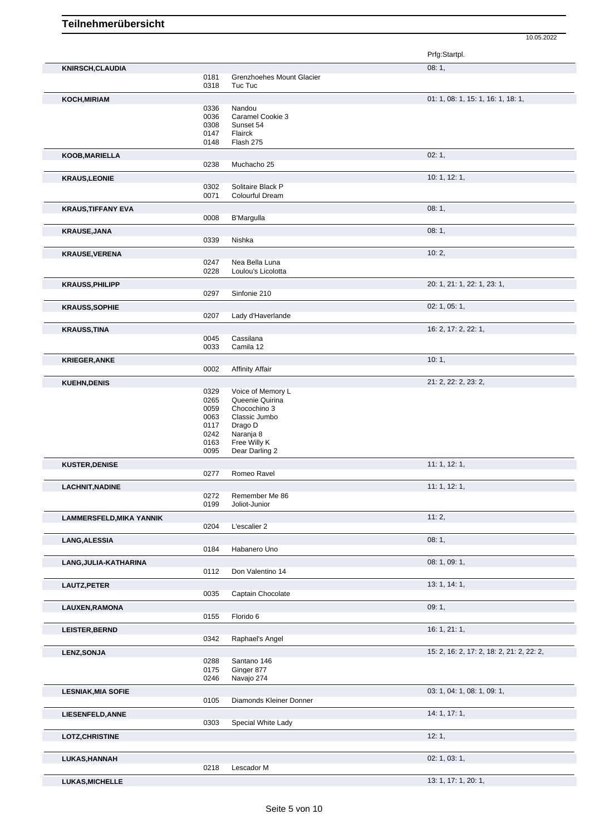Prfg:Startpl. **KNIRSCH,CLAUDIA** 08: 1, 0181 Grenzhoehes Mount Glacier<br>0318 Tuc Tuc Tuc Tuc **KOCH,MIRIAM** 01: 1, 08: 1, 15: 1, 16: 1, 18: 1, 18: 1, 18: 1, 18: 1, 18: 1, 18: 1, 18: 1, 18: 1, 18: 1, 18: 1, 18: 1, 18: 1, 18: 1, 18: 1, 18: 1, 18: 1, 18: 1, 18: 1, 18: 1, 18: 1, 18: 1, 18: 1, 18: 1, 18: 1, 18: 1, 18: 1 0336 Nandou<br>0036 Caramel 0036 Caramel Cookie 3<br>0308 Sunset 54 0308 Sunset 54<br>0147 Flairck 0147 Flairck<br>0148 Flash 2 Flash 275 **KOOB,MARIELLA** 02: 1, Muchacho 25 **KRAUS,LEONIE** 10: 1, 12: 1, 12: 1, 12: 1, 12: 1, 12: 1, 12: 1, 12: 1, 12: 1, 12: 1, 12: 1, 12: 1, 12: 1, 12: 1, 0302 Solitaire Black P<br>0071 Colourful Dream Colourful Dream **KRAUS,TIFFANY EVA** 08: 1, 0008 B'Marquilla **District the CONSET OF STAUS** 08: 1, B'Margulla **KRAUSE,JANA** 08: 1, 0339 Nishka **KRAUSE,VERENA** 10: 2, 0247 Nea Bella Luna 0228 Loulou's Licolotta **KRAUSS,PHILIPP** 20: 1, 21: 1, 22: 1, 23: 1, 0297 Sinfonie 210 **KRAUSS, SOPHIE** 02: 1, 05: 1, 05: 1, 05: 1, 05: 1, 05: 1, 05: 1, 05: 1, 05: 1, 05: 1, 05: 1, 05: 1, 05: 1, 05: 1, 05: 1, 05: 1, 05: 1, 05: 1, 05: 1, 05: 1, 05: 1, 05: 1, 05: 1, 05: 1, 05: 1, 05: 1, 05: 1, 05: 1, 05: 1, 05 Lady d'Haverlande **KRAUSS,TINA** 16: 2, 17: 2, 22: 1, 0045 Cassilana<br>0033 Camila 12 Camila 12 **KRIEGER,ANKE** 10: 1, 10: 1, 2002 Affinity Affair Affinity Affair **KUEHN,DENIS** 21: 2, 22: 2, 23: 2, 0329 Voice of Memory L<br>0265 Queenie Quirina 0265 Queenie Quirina<br>0059 Chocochino 3 0059 Chocochino 3<br>0063 Classic Jumbo 0063 Classic Jumbo<br>0117 Drago D 0117 Drago D<br>0242 Naranja 0242 Naranja 8<br>0163 Free Willy 0163 Free Willy K<br>0095 Dear Darling Dear Darling 2 **KUSTER, DENISE** 11: 1, 12: 1, 2: 1, 2: 1, 2: 1, 2: 1, 2: 1, 2: 1, 2: 1, 2: 1, 2: 1, 2: 1, 2: 1, 2: 1, 2: 1, 2: 1, 2: 1, 2: 1, 2: 1, 2: 1, 2: 1, 2: 1, 2: 1, 2: 1, 2: 1, 2: 1, 2: 1, 2: 1, 2: 1, 2: 1, 2: 1, 2: 1, 2: 1, 2: 1, Romeo Ravel **LACHNIT, NADINE** 11: 1, 12: 1, 2: 1, 2: 1, 2: 1, 2: 1, 2: 1, 2: 1, 2: 1, 2: 1, 2: 1, 2: 1, 2: 1, 2: 1, 2: 1, 2: 1, 2: 1, 2: 1, 2: 1, 2: 1, 2: 1, 2: 1, 2: 1, 2: 1, 2: 1, 2: 1, 2: 1, 2: 1, 2: 1, 2: 1, 2: 1, 2: 1, 2: 1, 2: 1 Remember Me 86 0199 Joliot-Junior **LAMMERSFELD, MIKA YANNIK** 11: 2, 0204 L'escalier 2 **LANG,ALESSIA** 08: 1, Habanero Uno **LANG,JULIA-KATHARINA** 08: 1, 09: 1, Don Valentino 14 **LAUTZ, PETER** 13: 1, 14: 1, 20035 Captain Chocolate 20035 Captain Chocolate 20035 Captain Chocolate 20035 Captain Chocolate 20035 Captain Chocolate 20035 Captain Chocolate 20035 Captain Chocolate 20035 Captain Chocolate 2 Captain Chocolate **LAUXEN,RAMONA** 09: 1, 0155 Florido 6 **LEISTER,BERND** 16: 1, 21: 1, 0342 Raphael's Angel **LENZ,SONJA** 15: 2, 16: 2, 17: 2, 18: 2, 21: 2, 22: 2, 0288 Santano 146<br>0175 Ginger 877 0175 Ginger 877<br>0246 Navajo 274 Navajo 274 **LESNIAK,MIA SOFIE** 03: 1, 04: 1, 08: 1, 09: 1, Diamonds Kleiner Donner LIESENFELD,ANNE 14: 1, 17: 1,<br>
0303 Special White Lady **14: 1, 17: 1,** Special White Lady **LOTZ,CHRISTINE** 12: 1, **LUKAS,HANNAH** 02: 1, 03: 1, 03: 1, 03: 1, 03: 1, 03: 1, 03: 1, 03: 1, 03: 1, 03: 1, 03: 1, 03: 1, 03: 1, 03: 1, Lescador M **LUKAS, MICHELLE** 13: 1, 17: 1, 20: 1,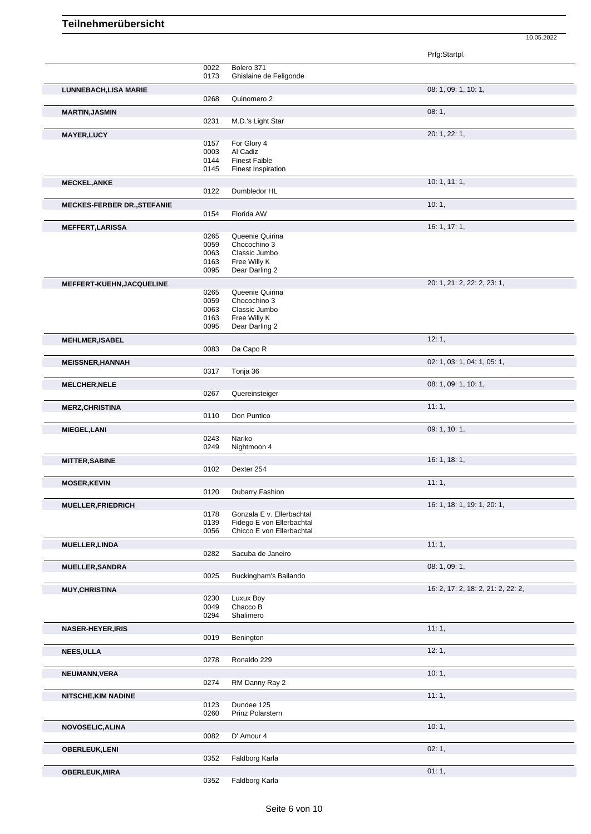Prfg:Startpl. 0022 Bolero 371<br>0173 Ghislaine o Ghislaine de Feligonde **LUNNEBACH,LISA MARIE** 08: 1, 09: 1, 10: 1, 0268 Quinomero 2 **MARTIN,JASMIN** 08: 1, 0231 M.D.'s Light Star **MAYER,LUCY** 20: 1, 22: 1, 0157 For Glory 4 0003 Al Cadiz 0144 Finest Faible<br>0145 Finest Inspira **Finest Inspiration MECKEL,ANKE** 10: 1, 11: 1, 0122 Dumbledor HL **MECKES-FERBER DR.,STEFANIE** 0154 Florida AW **CONSISTED 10: 1,** 10: 1, Florida AW **MEFFERT,LARISSA** 16: 1, 17: 1,<br>
0265 Queenie Quirina<br>
16: 1, 17: 1, 0265 Queenie Quirina<br>0059 Chocochino 3 0059 Chocochino 3<br>0063 Classic Jumbo 0063 Classic Jumbo<br>0163 Free Willy K 0163 Free Willy K<br>0095 Dear Darling Dear Darling 2 **MEFFERT-KUEHN,JACQUELINE** 20: 1, 21: 2, 22: 2, 23: 1, 0265 Queenie Quirina<br>0059 Chocochino 3 0059 Chocochino 3<br>0063 Classic Jumbo 0063 Classic Jumbo<br>0163 Free Willy K 0163 Free Willy K<br>0095 Dear Darling Dear Darling 2 **MEHLMER,ISABEL 12: 1, 19: 1, 12: 1, 12: 1, 12: 1, 12: 1, 12: 1, 12: 1, 12: 1, 12: 1, 12: 1, 12: 1, 12: 1, 1, 12: 1,** 0083 Da Capo R **MEISSNER,HANNAH** 02: 1, 03: 1, 04: 1, 05: 1, 0317 Tonja 36 **MELCHER, NELE** 08: 1, 09: 1, 10: 1, 0267 Quereinsteiger **MERZ,CHRISTINA** 11: 1, 0110 Don Puntico **MIEGEL,LANI** 09: 1, 10: 1, 0243 Nariko<br>0249 Nightm Nightmoon 4 **MITTER, SABINE** 16: 1, 18: 1, 18: 1, 19: 1, 19: 1, 19: 1, 19: 1, 19: 1, 19: 1, 19: 1, 19: 1, 19: 1, 19: 1, 19: 1, 19: 1, 19: 1, 19: 1, 19: 1, 19: 1, 19: 1, 19: 1, 19: 1, 19: 1, 19: 1, 19: 1, 19: 1, 19: 1, 19: 1, 19: 1, 19 0102 Dexter 254 **MOSER, KEVIN** 11: 1, 20120 Dubarry Fashion **Dubarry Fashion MUELLER,FRIEDRICH** 16: 1, 19: 1, 20: 1,<br>
0178 Gonzala E v. Ellerbachtal 16: 1, 18: 1, 18: 1, 19: 1, 20: 1, 0178 Gonzala E v. Ellerbachtal<br>0139 Fidego E von Ellerbachta 0139 Fidego E von Ellerbachtal<br>0056 Chicco E von Ellerbachtal Chicco E von Ellerbachtal **MUELLER,LINDA** 11: 1, Sacuba de Janeiro **MUELLER,SANDRA** 08: 1, 09: 1, 09: 1, 09: 1, 09: 1, 09: 1, 09: 1, 09: 1, 09: 1, 09: 1, 09: 1, 09: 1, 09: 1, 09: 1, Buckingham's Bailando **MUY,CHRISTINA** 16: 2, 17: 2, 18: 2, 21: 2, 22: 2, 0230 Luxux Boy<br>0049 Chacco B 0049 Chacco B<br>0294 Shalimero Shalimero **NASER-HEYER, IRIS** 11: 1, 0019 Benington **NASER-HEYER, IRIS** 11: 1, **Benington NEES,ULLA** 12: 1, 0278 Ronaldo 229 **NEUMANN,VERA** 10: 1, 0274 RM Danny Ray 2 **NITSCHE,KIM NADINE** 11: 1, 0123 Dundee 125 0260 Prinz Polarstern **NOVOSELIC,ALINA** 10: 1, 0082 D' Amour 4 **OBERLEUK,LENI** 02: 1, 0352 Faldborg Karla **OBERLEUK, MIRA** 01: 1,

10.05.2022

0352 Faldborg Karla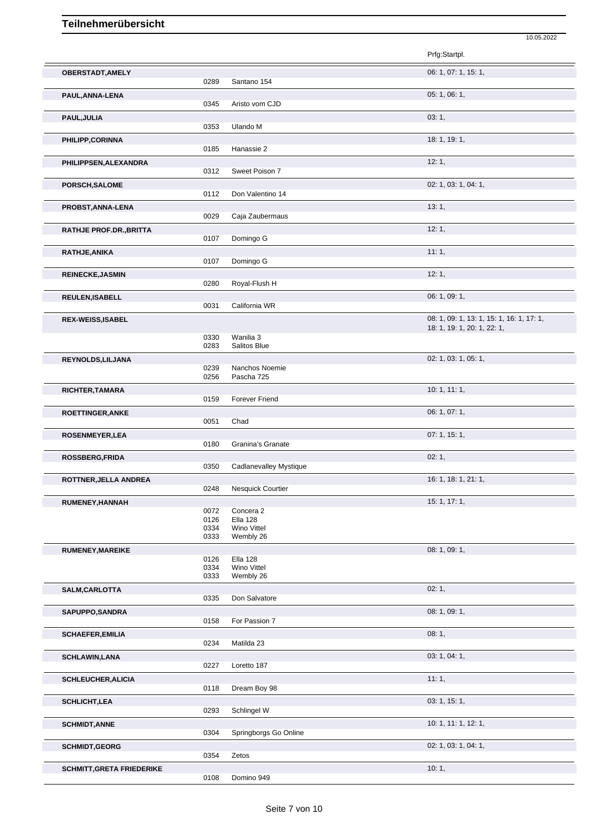|                                  |              |                              | 10.05.2022                                |
|----------------------------------|--------------|------------------------------|-------------------------------------------|
|                                  |              |                              | Prfg:Startpl.                             |
| OBERSTADT, AMELY                 |              |                              | 06: 1, 07: 1, 15: 1,                      |
|                                  | 0289         | Santano 154                  |                                           |
| PAUL, ANNA-LENA                  | 0345         | Aristo vom CJD               | 05:1,06:1,                                |
| PAUL, JULIA                      |              |                              | 03:1,                                     |
|                                  | 0353         | Ulando M                     |                                           |
| PHILIPP,CORINNA                  |              |                              | 18: 1, 19: 1,                             |
|                                  | 0185         | Hanassie 2                   |                                           |
| PHILIPPSEN, ALEXANDRA            | 0312         | Sweet Poison 7               | 12:1,                                     |
| PORSCH, SALOME                   |              |                              | 02: 1, 03: 1, 04: 1,                      |
|                                  | 0112         | Don Valentino 14             |                                           |
| PROBST, ANNA-LENA                |              |                              | 13:1,                                     |
|                                  | 0029         | Caja Zaubermaus              |                                           |
| RATHJE PROF.DR., BRITTA          | 0107         | Domingo G                    | 12:1,                                     |
| RATHJE, ANIKA                    |              |                              | 11:1,                                     |
|                                  | 0107         | Domingo G                    |                                           |
| <b>REINECKE, JASMIN</b>          |              |                              | 12:1,                                     |
|                                  | 0280         | Royal-Flush H                |                                           |
| REULEN, ISABELL                  | 0031         | California WR                | 06: 1, 09: 1,                             |
| <b>REX-WEISS, ISABEL</b>         |              |                              | 08: 1, 09: 1, 13: 1, 15: 1, 16: 1, 17: 1, |
|                                  |              |                              | 18: 1, 19: 1, 20: 1, 22: 1,               |
|                                  | 0330<br>0283 | Wanilia 3<br>Salitos Blue    |                                           |
| REYNOLDS, LILJANA                |              |                              | 02: 1, 03: 1, 05: 1,                      |
|                                  | 0239         | Nanchos Noemie               |                                           |
|                                  | 0256         | Pascha 725                   |                                           |
| RICHTER, TAMARA                  | 0159         | <b>Forever Friend</b>        | 10: 1, 11: 1,                             |
| <b>ROETTINGER, ANKE</b>          |              |                              | 06: 1, 07: 1,                             |
|                                  | 0051         | Chad                         |                                           |
| ROSENMEYER, LEA                  |              |                              | 07:1, 15:1,                               |
|                                  | 0180         | Granina's Granate            |                                           |
| ROSSBERG, FRIDA                  | 0350         | Cadlanevalley Mystique       | 02:1,                                     |
| ROTTNER, JELLA ANDREA            |              |                              | 16: 1, 18: 1, 21: 1,                      |
|                                  | 0248         | Nesquick Courtier            |                                           |
| RUMENEY, HANNAH                  |              |                              | 15: 1, 17: 1,                             |
|                                  | 0072<br>0126 | Concera 2<br><b>Ella 128</b> |                                           |
|                                  | 0334         | Wino Vittel                  |                                           |
|                                  | 0333         | Wembly 26                    | 08: 1, 09: 1,                             |
| RUMENEY, MAREIKE                 | 0126         | <b>Ella 128</b>              |                                           |
|                                  | 0334<br>0333 | Wino Vittel<br>Wembly 26     |                                           |
| SALM, CARLOTTA                   |              |                              | 02:1,                                     |
|                                  | 0335         | Don Salvatore                |                                           |
| SAPUPPO, SANDRA                  |              |                              | 08: 1, 09: 1,                             |
|                                  | 0158         | For Passion 7                |                                           |
| <b>SCHAEFER, EMILIA</b>          | 0234         | Matilda 23                   | 08:1,                                     |
|                                  |              |                              | 03: 1, 04: 1,                             |
| <b>SCHLAWIN,LANA</b>             | 0227         | Loretto 187                  |                                           |
| <b>SCHLEUCHER, ALICIA</b>        |              |                              | 11:1,                                     |
|                                  | 0118         | Dream Boy 98                 |                                           |
| <b>SCHLICHT, LEA</b>             |              |                              | 03: 1, 15: 1,                             |
|                                  | 0293         | Schlingel W                  |                                           |
| <b>SCHMIDT, ANNE</b>             | 0304         | Springborgs Go Online        | 10: 1, 11: 1, 12: 1,                      |
| <b>SCHMIDT, GEORG</b>            |              |                              | 02: 1, 03: 1, 04: 1,                      |
|                                  | 0354         | Zetos                        |                                           |
| <b>SCHMITT, GRETA FRIEDERIKE</b> |              |                              | 10:1,                                     |
|                                  | 0108         | Domino 949                   |                                           |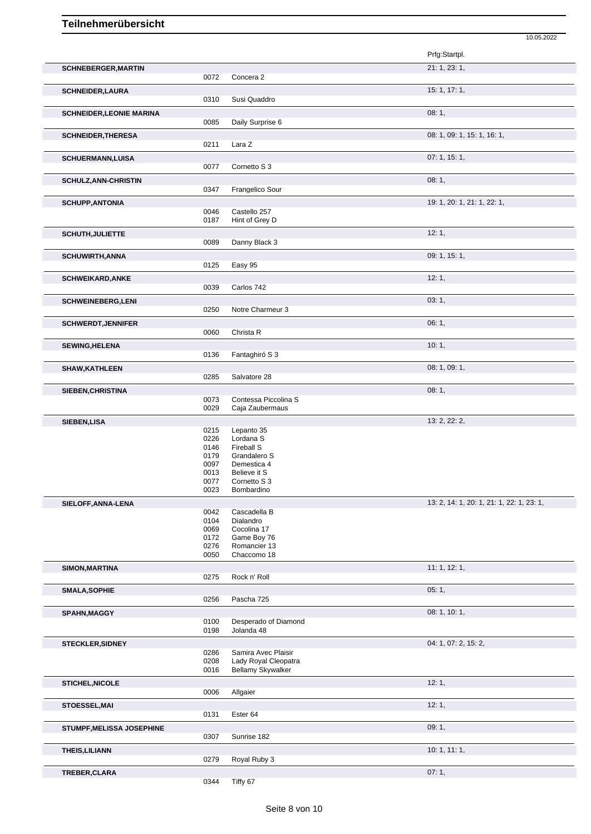|                                 |              |                                             | 10.05.2022                                |
|---------------------------------|--------------|---------------------------------------------|-------------------------------------------|
|                                 |              |                                             | Prfg:Startpl.                             |
| <b>SCHNEBERGER, MARTIN</b>      |              |                                             | 21: 1, 23: 1,                             |
|                                 | 0072         | Concera 2                                   |                                           |
| <b>SCHNEIDER, LAURA</b>         | 0310         | Susi Quaddro                                | 15: 1, 17: 1,                             |
| <b>SCHNEIDER, LEONIE MARINA</b> | 0085         | Daily Surprise 6                            | 08:1,                                     |
| <b>SCHNEIDER, THERESA</b>       |              |                                             | 08: 1, 09: 1, 15: 1, 16: 1,               |
|                                 | 0211         | Lara Z                                      |                                           |
| <b>SCHUERMANN,LUISA</b>         | 0077         | Cornetto S 3                                | 07:1, 15:1,                               |
| <b>SCHULZ, ANN-CHRISTIN</b>     |              |                                             | 08:1,                                     |
|                                 | 0347         | Frangelico Sour                             |                                           |
| <b>SCHUPP, ANTONIA</b>          | 0046         | Castello 257                                | 19: 1, 20: 1, 21: 1, 22: 1,               |
|                                 | 0187         | Hint of Grey D                              |                                           |
| SCHUTH, JULIETTE                | 0089         | Danny Black 3                               | 12:1,                                     |
| <b>SCHUWIRTH, ANNA</b>          |              |                                             | 09: 1, 15: 1,                             |
|                                 | 0125         | Easy 95                                     |                                           |
| <b>SCHWEIKARD, ANKE</b>         |              |                                             | 12:1,                                     |
|                                 | 0039         | Carlos 742                                  |                                           |
| <b>SCHWEINEBERG,LENI</b>        | 0250         | Notre Charmeur 3                            | 03:1,                                     |
| <b>SCHWERDT, JENNIFER</b>       |              |                                             | 06:1,                                     |
|                                 | 0060         | Christa R                                   |                                           |
| <b>SEWING, HELENA</b>           |              |                                             | 10:1,                                     |
|                                 | 0136         | Fantaghiró S 3                              |                                           |
| <b>SHAW, KATHLEEN</b>           | 0285         | Salvatore 28                                | 08: 1, 09: 1,                             |
| SIEBEN, CHRISTINA               |              |                                             | 08:1,                                     |
|                                 | 0073         | Contessa Piccolina S                        |                                           |
|                                 | 0029         | Caja Zaubermaus                             |                                           |
| SIEBEN, LISA                    | 0215         | Lepanto 35                                  | 13: 2, 22: 2,                             |
|                                 | 0226         | Lordana <sub>S</sub>                        |                                           |
|                                 | 0146<br>0179 | Fireball S<br>Grandalero S                  |                                           |
|                                 | 0097         | Demestica 4                                 |                                           |
|                                 | 0013<br>0077 | Believe it S<br>Cornetto S 3                |                                           |
|                                 | 0023         | Bombardino                                  |                                           |
| SIELOFF, ANNA-LENA              |              |                                             | 13: 2, 14: 1, 20: 1, 21: 1, 22: 1, 23: 1, |
|                                 | 0042<br>0104 | Cascadella B<br>Dialandro                   |                                           |
|                                 | 0069         | Cocolina 17                                 |                                           |
|                                 | 0172         | Game Boy 76<br>Romancier 13                 |                                           |
|                                 | 0276<br>0050 | Chaccomo 18                                 |                                           |
| SIMON, MARTINA                  |              |                                             | 11:1, 12:1,                               |
|                                 | 0275         | Rock n' Roll                                |                                           |
| <b>SMALA, SOPHIE</b>            |              |                                             | 05:1,                                     |
|                                 | 0256         | Pascha 725                                  |                                           |
| SPAHN, MAGGY                    | 0100         | Desperado of Diamond                        | 08: 1, 10: 1,                             |
|                                 | 0198         | Jolanda 48                                  |                                           |
| <b>STECKLER, SIDNEY</b>         |              |                                             | 04: 1, 07: 2, 15: 2,                      |
|                                 | 0286<br>0208 | Samira Avec Plaisir<br>Lady Royal Cleopatra |                                           |
|                                 | 0016         | <b>Bellamy Skywalker</b>                    |                                           |
| STICHEL, NICOLE                 |              |                                             | 12:1,                                     |
|                                 | 0006         | Allgaier                                    |                                           |
| STOESSEL, MAI                   |              |                                             | 12:1,                                     |
|                                 | 0131         | Ester 64                                    |                                           |
| STUMPF, MELISSA JOSEPHINE       | 0307         | Sunrise 182                                 | 09:1,                                     |
| THEIS, LILIANN                  |              |                                             | 10:1, 11:1,                               |
|                                 | 0279         | Royal Ruby 3                                |                                           |
| TREBER, CLARA                   |              |                                             | 07:1,                                     |
|                                 | 0344         | Tiffy 67                                    |                                           |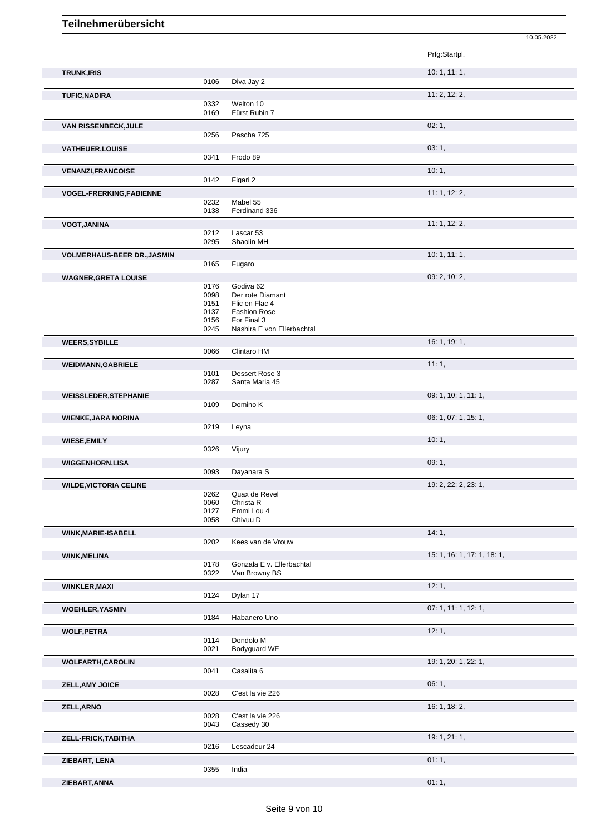|                                    |              |                                            | 10.05.2022                  |  |
|------------------------------------|--------------|--------------------------------------------|-----------------------------|--|
|                                    |              |                                            | Prfg:Startpl.               |  |
| <b>TRUNK, IRIS</b>                 |              |                                            | 10:1, 11:1,                 |  |
|                                    | 0106         | Diva Jay 2                                 |                             |  |
| <b>TUFIC, NADIRA</b>               | 0332         | Welton 10                                  | 11: 2, 12: 2,               |  |
|                                    | 0169         | Fürst Rubin 7                              |                             |  |
| VAN RISSENBECK, JULE               | 0256         | Pascha 725                                 | 02:1,                       |  |
| VATHEUER, LOUISE                   |              |                                            | 03:1,                       |  |
|                                    | 0341         | Frodo 89                                   |                             |  |
| <b>VENANZI, FRANCOISE</b>          |              |                                            | 10:1,                       |  |
| <b>VOGEL-FRERKING,FABIENNE</b>     | 0142         | Figari 2                                   | 11: 1, 12: 2,               |  |
|                                    | 0232         | Mabel 55                                   |                             |  |
|                                    | 0138         | Ferdinand 336                              |                             |  |
| <b>VOGT, JANINA</b>                | 0212         | Lascar 53                                  | 11: 1, 12: 2,               |  |
|                                    | 0295         | Shaolin MH                                 |                             |  |
| <b>VOLMERHAUS-BEER DR., JASMIN</b> |              |                                            | 10:1, 11:1,                 |  |
| <b>WAGNER, GRETA LOUISE</b>        | 0165         | Fugaro                                     | 09: 2, 10: 2,               |  |
|                                    | 0176         | Godiva 62                                  |                             |  |
|                                    | 0098<br>0151 | Der rote Diamant<br>Flic en Flac 4         |                             |  |
|                                    | 0137         | <b>Fashion Rose</b>                        |                             |  |
|                                    | 0156<br>0245 | For Final 3<br>Nashira E von Ellerbachtal  |                             |  |
| <b>WEERS, SYBILLE</b>              |              |                                            | 16: 1, 19: 1,               |  |
|                                    | 0066         | Clintaro HM                                |                             |  |
| <b>WEIDMANN, GABRIELE</b>          | 0101         | Dessert Rose 3                             | 11:1,                       |  |
|                                    | 0287         | Santa Maria 45                             |                             |  |
| <b>WEISSLEDER, STEPHANIE</b>       | 0109         | Domino K                                   | 09: 1, 10: 1, 11: 1,        |  |
| <b>WIENKE, JARA NORINA</b>         |              |                                            | 06: 1, 07: 1, 15: 1,        |  |
|                                    | 0219         | Leyna                                      |                             |  |
| <b>WIESE, EMILY</b>                |              |                                            | 10:1,                       |  |
|                                    | 0326         | Vijury                                     |                             |  |
| <b>WIGGENHORN,LISA</b>             | 0093         | Dayanara S                                 | 09:1,                       |  |
| <b>WILDE, VICTORIA CELINE</b>      |              |                                            | 19: 2, 22: 2, 23: 1,        |  |
|                                    | 0262<br>0060 | Quax de Revel<br>Christa R                 |                             |  |
|                                    | 0127         | Emmi Lou 4                                 |                             |  |
|                                    | 0058         | Chivuu D                                   |                             |  |
| WINK, MARIE-ISABELL                | 0202         | Kees van de Vrouw                          | 14:1,                       |  |
| <b>WINK, MELINA</b>                |              |                                            | 15: 1, 16: 1, 17: 1, 18: 1, |  |
|                                    | 0178<br>0322 | Gonzala E v. Ellerbachtal<br>Van Browny BS |                             |  |
| <b>WINKLER, MAXI</b>               |              |                                            | 12:1,                       |  |
|                                    | 0124         | Dylan 17                                   |                             |  |
| <b>WOEHLER, YASMIN</b>             |              |                                            | 07: 1, 11: 1, 12: 1,        |  |
|                                    | 0184         | Habanero Uno                               |                             |  |
| <b>WOLF, PETRA</b>                 | 0114         | Dondolo M                                  | 12:1,                       |  |
|                                    | 0021         | Bodyguard WF                               |                             |  |
| <b>WOLFARTH,CAROLIN</b>            | 0041         | Casalita 6                                 | 19: 1, 20: 1, 22: 1,        |  |
| <b>ZELL, AMY JOICE</b>             |              |                                            | 06:1,                       |  |
|                                    | 0028         | C'est la vie 226                           |                             |  |
| ZELL, ARNO                         |              |                                            | 16: 1, 18: 2,               |  |
|                                    | 0028<br>0043 | C'est la vie 226<br>Cassedy 30             |                             |  |
| ZELL-FRICK, TABITHA                |              |                                            | 19: 1, 21: 1,               |  |
|                                    | 0216         | Lescadeur 24                               |                             |  |
| ZIEBART, LENA                      | 0355         | India                                      | 01:1,                       |  |
| ZIEBART, ANNA                      |              |                                            | 01:1,                       |  |
|                                    |              |                                            |                             |  |